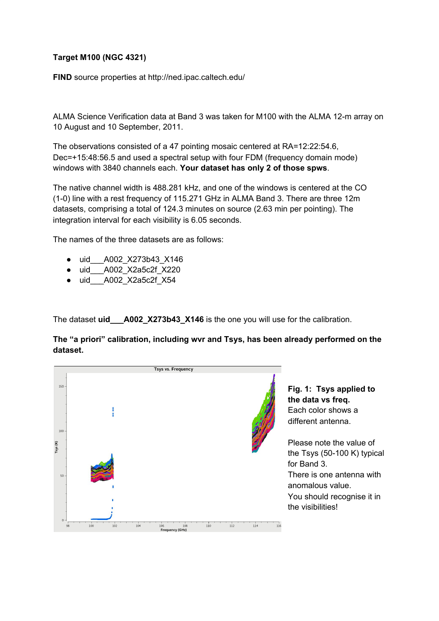## **Target M100 (NGC 4321)**

**FIND** source properties at http://ned.ipac.caltech.edu/

ALMA Science Verification data at Band 3 was taken for M100 with the ALMA 12-m array on 10 August and 10 September, 2011.

The observations consisted of a 47 pointing mosaic centered at RA=12:22:54.6, Dec=+15:48:56.5 and used a spectral setup with four FDM (frequency domain mode) windows with 3840 channels each. **Your dataset has only 2 of those spws**.

The native channel width is 488.281 kHz, and one of the windows is centered at the CO (1-0) line with a rest frequency of 115.271 GHz in ALMA Band 3. There are three 12m datasets, comprising a total of 124.3 minutes on source (2.63 min per pointing). The integration interval for each visibility is 6.05 seconds.

The names of the three datasets are as follows:

- uid\_\_\_A002\_X273b43\_X146
- uid A002 X2a5c2f X220
- uid\_\_\_A002\_X2a5c2f\_X54

The dataset **uid\_\_\_A002\_X273b43\_X146** is the one you will use for the calibration.

**The "a priori" calibration, including wvr and Tsys, has been already performed on the dataset.**



**Fig. 1: Tsys applied to the data vs freq.** Each color shows a different antenna.

Please note the value of the Tsys (50-100 K) typical for Band 3. There is one antenna with anomalous value. You should recognise it in the visibilities!